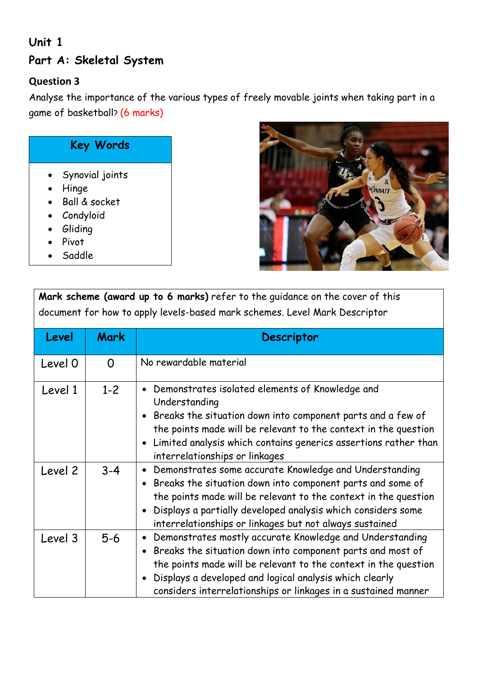## **Unit 1 Part A: Skeletal System**

## **Question 3**

Analyse the importance of the various types of freely movable joints when taking part in a game of basketball? (6 marks)

## **Key Words**

- Synovial joints
- Hinge
- Ball & socket
- Condyloid
- **•** Gliding
- Pivot
- Saddle



**Mark scheme (award up to 6 marks)** refer to the guidance on the cover of this document for how to apply levels-based mark schemes. Level Mark Descriptor

| Level   | <b>Mark</b> | <b>Descriptor</b>                                                                                                                                                                                                                                                                                                      |
|---------|-------------|------------------------------------------------------------------------------------------------------------------------------------------------------------------------------------------------------------------------------------------------------------------------------------------------------------------------|
| Level 0 | $\Omega$    | No rewardable material                                                                                                                                                                                                                                                                                                 |
| Level 1 | $1 - 2$     | Demonstrates isolated elements of Knowledge and<br>Understanding<br>Breaks the situation down into component parts and a few of<br>the points made will be relevant to the context in the question<br>Limited analysis which contains generics assertions rather than<br>interrelationships or linkages                |
| Level 2 | $3 - 4$     | Demonstrates some accurate Knowledge and Understanding<br>Breaks the situation down into component parts and some of<br>the points made will be relevant to the context in the question<br>Displays a partially developed analysis which considers some<br>interrelationships or linkages but not always sustained     |
| Level 3 | $5-6$       | Demonstrates mostly accurate Knowledge and Understanding<br>Breaks the situation down into component parts and most of<br>the points made will be relevant to the context in the question<br>Displays a developed and logical analysis which clearly<br>considers interrelationships or linkages in a sustained manner |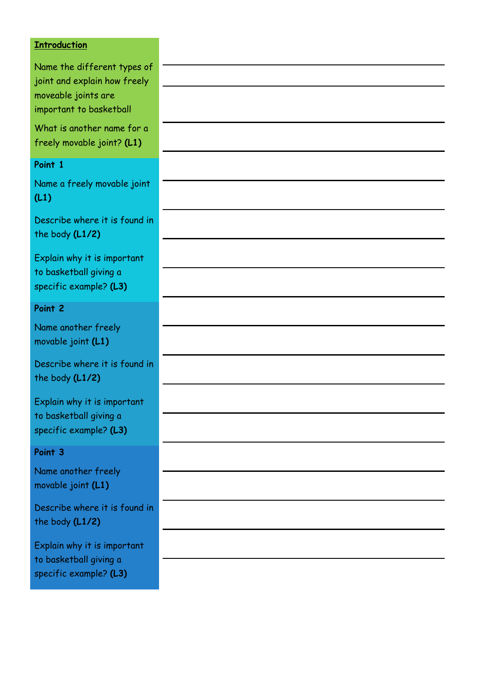## **Introduction**

| Name the different types of<br>joint and explain how freely                     |  |
|---------------------------------------------------------------------------------|--|
| moveable joints are<br>important to basketball                                  |  |
| What is another name for a<br>freely movable joint? (L1)                        |  |
| Point 1                                                                         |  |
| Name a freely movable joint<br>(L1)                                             |  |
| Describe where it is found in<br>the body (L1/2)                                |  |
| Explain why it is important                                                     |  |
| to basketball giving a<br>specific example? (L3)                                |  |
| Point 2                                                                         |  |
| Name another freely<br>movable joint (L1)                                       |  |
| Describe where it is found in<br>the body (L1/2)                                |  |
| Explain why it is important                                                     |  |
| to basketball giving a<br>specific example? (L3)                                |  |
| Point 3                                                                         |  |
| Name another freely<br>movable joint (L1)                                       |  |
| Describe where it is found in<br>the body (L1/2)                                |  |
| Explain why it is important<br>to basketball giving a<br>specific example? (L3) |  |